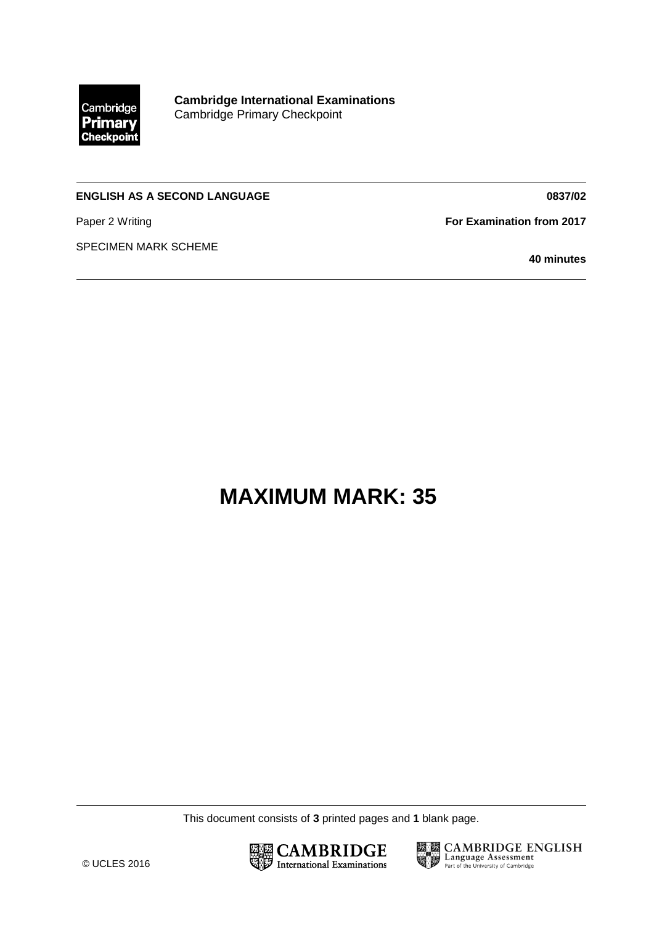

**Cambridge International Examinations** Cambridge Primary Checkpoint

## **ENGLISH AS A SECOND LANGUAGE**

Paper 2 Writing

SPECIMEN MARK SCHEME

**For Examination from 2017**

**40 minutes**

**0837/02**

## **MAXIMUM MARK: 35**

This document consists of **3** printed pages and **1** blank page.





**ESSION CAMBRIDGE ENGLISH**<br>The Language Assessment<br>Reflection the University of Cambridge Part of the University of Cambridge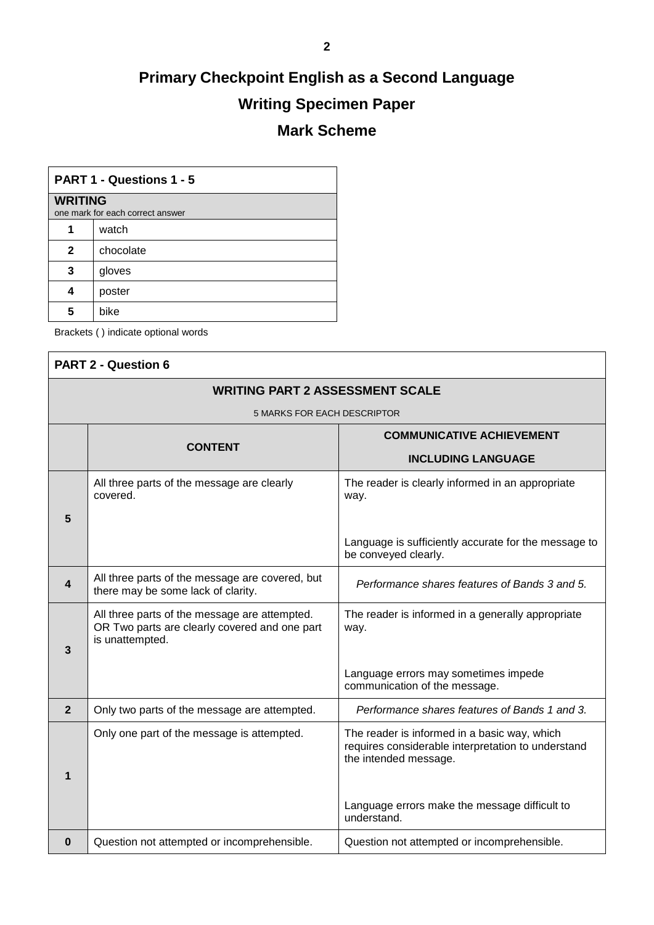## **Primary Checkpoint English as a Second Language Writing Specimen Paper Mark Scheme**

| <b>PART 1 - Questions 1 - 5</b>                    |           |  |  |  |  |
|----------------------------------------------------|-----------|--|--|--|--|
| <b>WRITING</b><br>one mark for each correct answer |           |  |  |  |  |
|                                                    | watch     |  |  |  |  |
| $\mathbf{2}$                                       | chocolate |  |  |  |  |
| 3                                                  | gloves    |  |  |  |  |
| 4                                                  | poster    |  |  |  |  |
| 5                                                  | bike      |  |  |  |  |

Brackets ( ) indicate optional words

| <b>PART 2 - Question 6</b>             |                                                                                                                   |                                                                                                                             |  |  |  |  |
|----------------------------------------|-------------------------------------------------------------------------------------------------------------------|-----------------------------------------------------------------------------------------------------------------------------|--|--|--|--|
| <b>WRITING PART 2 ASSESSMENT SCALE</b> |                                                                                                                   |                                                                                                                             |  |  |  |  |
| <b>5 MARKS FOR EACH DESCRIPTOR</b>     |                                                                                                                   |                                                                                                                             |  |  |  |  |
|                                        | <b>CONTENT</b>                                                                                                    | <b>COMMUNICATIVE ACHIEVEMENT</b>                                                                                            |  |  |  |  |
|                                        |                                                                                                                   | <b>INCLUDING LANGUAGE</b>                                                                                                   |  |  |  |  |
|                                        | All three parts of the message are clearly<br>covered.                                                            | The reader is clearly informed in an appropriate<br>way.                                                                    |  |  |  |  |
| 5                                      |                                                                                                                   |                                                                                                                             |  |  |  |  |
|                                        |                                                                                                                   | Language is sufficiently accurate for the message to<br>be conveyed clearly.                                                |  |  |  |  |
| 4                                      | All three parts of the message are covered, but<br>there may be some lack of clarity.                             | Performance shares features of Bands 3 and 5.                                                                               |  |  |  |  |
| 3                                      | All three parts of the message are attempted.<br>OR Two parts are clearly covered and one part<br>is unattempted. | The reader is informed in a generally appropriate<br>way.                                                                   |  |  |  |  |
|                                        |                                                                                                                   | Language errors may sometimes impede<br>communication of the message.                                                       |  |  |  |  |
| $\overline{2}$                         | Only two parts of the message are attempted.                                                                      | Performance shares features of Bands 1 and 3.                                                                               |  |  |  |  |
| 1                                      | Only one part of the message is attempted.                                                                        | The reader is informed in a basic way, which<br>requires considerable interpretation to understand<br>the intended message. |  |  |  |  |
|                                        |                                                                                                                   | Language errors make the message difficult to<br>understand.                                                                |  |  |  |  |
| $\bf{0}$                               | Question not attempted or incomprehensible.                                                                       | Question not attempted or incomprehensible.                                                                                 |  |  |  |  |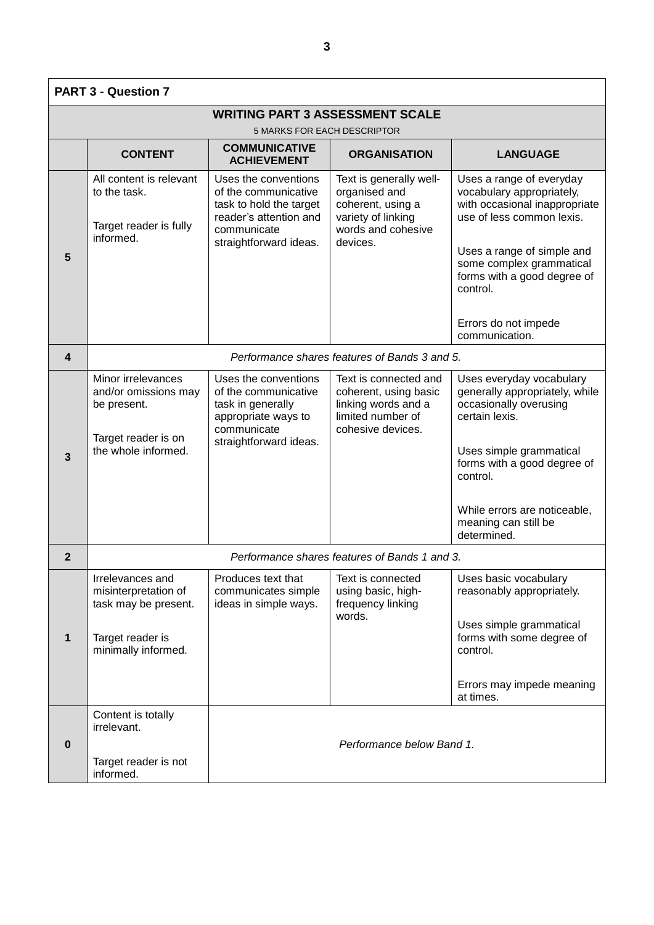| <b>PART 3 - Question 7</b>             |                                                                                                         |                                                                                                                                            |                                                                                                                 |                                                                                                                                   |  |  |  |  |
|----------------------------------------|---------------------------------------------------------------------------------------------------------|--------------------------------------------------------------------------------------------------------------------------------------------|-----------------------------------------------------------------------------------------------------------------|-----------------------------------------------------------------------------------------------------------------------------------|--|--|--|--|
| <b>WRITING PART 3 ASSESSMENT SCALE</b> |                                                                                                         |                                                                                                                                            |                                                                                                                 |                                                                                                                                   |  |  |  |  |
|                                        | 5 MARKS FOR EACH DESCRIPTOR<br><b>COMMUNICATIVE</b>                                                     |                                                                                                                                            |                                                                                                                 |                                                                                                                                   |  |  |  |  |
|                                        | <b>CONTENT</b>                                                                                          | <b>ACHIEVEMENT</b>                                                                                                                         | <b>ORGANISATION</b>                                                                                             | <b>LANGUAGE</b>                                                                                                                   |  |  |  |  |
| 5                                      | All content is relevant<br>to the task.<br>Target reader is fully<br>informed.                          | Uses the conventions<br>of the communicative<br>task to hold the target<br>reader's attention and<br>communicate<br>straightforward ideas. | Text is generally well-<br>organised and<br>coherent, using a<br>variety of linking<br>words and cohesive       | Uses a range of everyday<br>vocabulary appropriately,<br>with occasional inappropriate<br>use of less common lexis.               |  |  |  |  |
|                                        |                                                                                                         |                                                                                                                                            | devices.                                                                                                        | Uses a range of simple and<br>some complex grammatical<br>forms with a good degree of<br>control.                                 |  |  |  |  |
|                                        |                                                                                                         |                                                                                                                                            |                                                                                                                 | Errors do not impede<br>communication.                                                                                            |  |  |  |  |
| 4                                      | Performance shares features of Bands 3 and 5.                                                           |                                                                                                                                            |                                                                                                                 |                                                                                                                                   |  |  |  |  |
|                                        | Minor irrelevances<br>and/or omissions may<br>be present.<br>Target reader is on<br>the whole informed. | Uses the conventions<br>of the communicative<br>task in generally<br>appropriate ways to<br>communicate<br>straightforward ideas.          | Text is connected and<br>coherent, using basic<br>linking words and a<br>limited number of<br>cohesive devices. | Uses everyday vocabulary<br>generally appropriately, while<br>occasionally overusing<br>certain lexis.<br>Uses simple grammatical |  |  |  |  |
| 3                                      |                                                                                                         |                                                                                                                                            |                                                                                                                 | forms with a good degree of<br>control.                                                                                           |  |  |  |  |
|                                        |                                                                                                         |                                                                                                                                            |                                                                                                                 | While errors are noticeable,<br>meaning can still be<br>determined.                                                               |  |  |  |  |
| 2                                      | Performance shares features of Bands 1 and 3.                                                           |                                                                                                                                            |                                                                                                                 |                                                                                                                                   |  |  |  |  |
|                                        | Irrelevances and<br>misinterpretation of<br>task may be present.                                        | Produces text that<br>communicates simple<br>ideas in simple ways.                                                                         | Text is connected<br>using basic, high-<br>frequency linking<br>words.                                          | Uses basic vocabulary<br>reasonably appropriately.                                                                                |  |  |  |  |
| 1                                      | Target reader is<br>minimally informed.                                                                 |                                                                                                                                            |                                                                                                                 | Uses simple grammatical<br>forms with some degree of<br>control.                                                                  |  |  |  |  |
|                                        |                                                                                                         |                                                                                                                                            |                                                                                                                 | Errors may impede meaning<br>at times.                                                                                            |  |  |  |  |
|                                        | Content is totally<br>irrelevant.                                                                       |                                                                                                                                            |                                                                                                                 |                                                                                                                                   |  |  |  |  |
| $\bf{0}$                               | Target reader is not<br>informed.                                                                       | Performance below Band 1.                                                                                                                  |                                                                                                                 |                                                                                                                                   |  |  |  |  |
|                                        |                                                                                                         |                                                                                                                                            |                                                                                                                 |                                                                                                                                   |  |  |  |  |